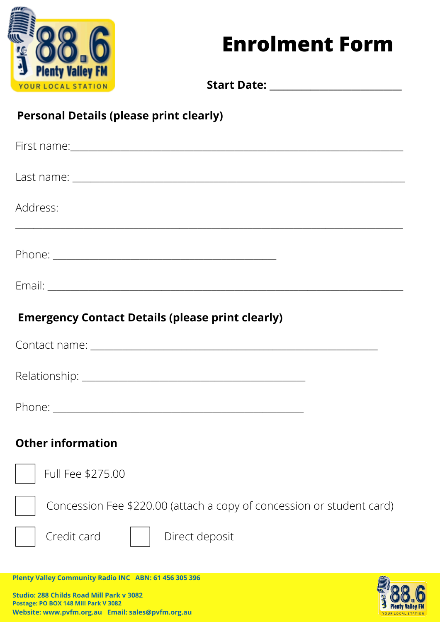

## **Enrolment Form**

YOUR LOCAL

**Start Date: \_\_\_\_\_\_\_\_\_\_\_\_\_\_\_\_\_\_\_\_\_\_\_\_\_\_\_\_\_**

## **Personal Details (please print clearly)**

**Website: www.pvfm.org.au Email: sales@pvfm.org.au**

| Address:<br>,我们也不能在这里的人,我们也不能在这里的人,我们也不能在这里的人,我们也不能在这里的人,我们也不能在这里的人,我们也不能在这里的人,我们也不能在这里的人,我们 |
|----------------------------------------------------------------------------------------------|
|                                                                                              |
|                                                                                              |
| <b>Emergency Contact Details (please print clearly)</b>                                      |
|                                                                                              |
|                                                                                              |
|                                                                                              |
| <b>Other information</b>                                                                     |
| the contract of the contract of the contract of<br>Full Fee \$275.00                         |
| Concession Fee \$220.00 (attach a copy of concession or student card)                        |
| Credit card<br>Direct deposit                                                                |
| Plenty Valley Community Radio INC ABN: 61 456 305 396                                        |
| <b>Studio: 288 Childs Road Mill Park v 3082</b><br>Postage: PO BOX 148 Mill Park V 3082      |